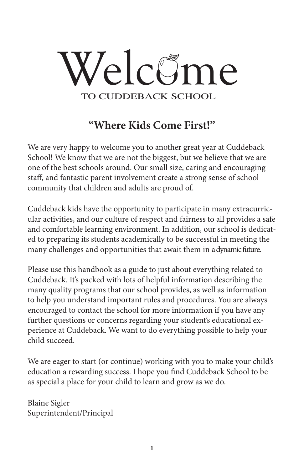

# **"Where Kids Come First!"** "Where Kids Come First!!"

We are very happy to welcome you to another great year at Cuddeback We are very happy to welcome you to another great year at Cuddeback School! We know that we are not the biggest, but we believe that we are School! We know that we are not the biggest, but we believe that we are one of the best schools around. Our small size, caring and encouraging one of the best schools around. Our small size, caring and encouraging staff, and fantastic parent involvement create a strong sense of school staff, and fantastic parent involvement create a strong sense of school community that children and adults are proud of. community that children and adults are proud of.

Cuddeback kids have the opportunity to participate in many extracurricular activities, and our culture of respect and fairness to all provides a safe lar activities, and our culture of respect and fairness to all provides a safe and comfortable learning environment. In addition, our school is dedicat-and comfortable learning environment. In addition, our school is dedicated to preparing its students academically to be successful in meeting the ed to preparing its students academically to be successful in meeting the many challenges and opportunities that await them in a dynamic future.

Please use this handbook as a guide to just about everything related to Please use this handbook as a guide to just about everything related to Cuddeback. It's packed with lots of helpful information describing the Cuddeback. It's packed with lots of helpful information describing the many quality programs that our school provides, as well as information to help you understand important rules and procedures. You are always to help you understand important rules and procedures. You are always encouraged to contact the school for more information if you have any further questions or concerns regarding your student's educational ex-encouraged to contact the school for more information if you have any perience at Cuddeback. We want to do everything possible to help your child succeed. persistence at Cuddeback. We want to do every himself possible to help your

We are eager to start (or continue) working with you to make your child's education a rewarding success. I hope you find Cuddeback School to be as special a place for your child to learn and grow as we do.

Blaine Sigler Superintendent/Principal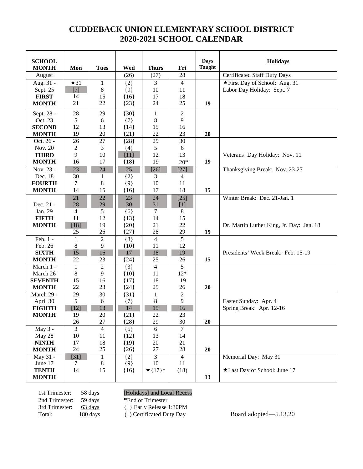# **CUDDEBACK UNION ELEMENTARY SCHOOL DISTRICT 2020-2021 SCHOOL CALENDAR**

| <b>SCHOOL</b>          |                      |                |                  |                |                | <b>Days</b>   | <b>Holidays</b>                          |
|------------------------|----------------------|----------------|------------------|----------------|----------------|---------------|------------------------------------------|
| <b>MONTH</b>           | Mon                  | <b>Tues</b>    | Wed              | <b>Thurs</b>   | Fri            | <b>Taught</b> |                                          |
| August                 |                      |                | (26)             | (27)           | 28             |               | <b>Certificated Staff Duty Days</b>      |
| Aug. 31 -              | $\star$ 31           | $\mathbf{1}$   | ${2}$            | 3              | $\overline{4}$ |               | ★First Day of School: Aug. 31            |
| Sept. 25               | $[7]$                | 8              | ${9}$            | 10             | 11             |               | Labor Day Holiday: Sept. 7               |
| <b>FIRST</b>           | 14                   | 15             | ${16}$           | 17             | 18             |               |                                          |
| <b>MONTH</b>           | 21                   | 22             | ${23}$           | 24             | 25             | 19            |                                          |
| Sept. 28 -             | 28                   | 29             | ${30}$           | $\mathbf{1}$   | $\overline{2}$ |               |                                          |
| Oct. 23                | 5                    | 6              | $\{7\}$          | $8\,$          | 9              |               |                                          |
| <b>SECOND</b>          | 12                   | 13             | ${14}$           | 15             | 16             |               |                                          |
| <b>MONTH</b>           | 19                   | 20<br>27       | ${21}$           | 22             | 23<br>30       | 20            |                                          |
| Oct. 26 -<br>Nov. 20   | 26<br>$\overline{c}$ | 3              | ${28}$           | 29<br>5        | 6              |               |                                          |
| <b>THIRD</b>           | 9                    | 10             | ${4}$<br>$[11]$  | 12             | 13             |               | Veterans' Day Holiday: Nov. 11           |
| <b>MONTH</b>           | 16                   | 17             | ${18}$           | 19             | $20*$          | 19            |                                          |
| Nov. 23 -              | 23                   | 24             | 25               | $[26]$         | $[27]$         |               | Thanksgiving Break: Nov. 23-27           |
| Dec. 18                | 30                   | 1              | ${2}$            | 3              | $\overline{4}$ |               |                                          |
| <b>FOURTH</b>          | 7                    | 8              | ${9}$            | 10             | 11             |               |                                          |
| <b>MONTH</b>           | 14                   | 15             | ${16}$           | 17             | 18             | 15            |                                          |
|                        | 21                   | 22             | 23               | 24             | $[25]$         |               | Winter Break: Dec. 21-Jan. 1             |
| Dec. 21 -              | 28                   | 29             | 30               | 31             | $[1]$          |               |                                          |
| Jan. 29                | 4                    | 5              | $\{6\}$          | $\tau$         | $\,8\,$        |               |                                          |
| <b>FIFTH</b>           | 11                   | 12             | ${13}$           | 14             | 15             |               |                                          |
| <b>MONTH</b>           | $[18]$<br>25         | 19<br>26       | ${20}$<br>${27}$ | 21<br>28       | 22<br>29       | 19            | Dr. Martin Luther King, Jr. Day: Jan. 18 |
| Feb. 1 -               | $\mathbf{1}$         | $\overline{2}$ | ${3}$            | $\overline{4}$ | $\overline{5}$ |               |                                          |
| Feb. 26                | $8\,$                | 9              | ${10}$           | 11             | 12             |               |                                          |
| <b>SIXTH</b>           | 15                   | 16             | 17               | 18             | 19             |               | Presidents' Week Break: Feb. 15-19       |
| <b>MONTH</b>           | 22                   | 23             | ${24}$           | 25             | 26             | 15            |                                          |
| March $1-$             | $\mathbf{1}$         | $\overline{2}$ | ${3}$            | $\overline{4}$ | $\overline{5}$ |               |                                          |
| March 26               | 8                    | 9              | ${10}$           | 11             | $12*$          |               |                                          |
| <b>SEVENTH</b>         | 15                   | 16             | ${17}$           | 18             | 19             |               |                                          |
| <b>MONTH</b>           | 22                   | 23             | ${24}$           | 25             | 26             | 20            |                                          |
| March 29 -             | 29                   | 30             | ${31}$           | $\mathbf{1}$   | $\overline{2}$ |               |                                          |
| April 30               | 5                    | 6              | ${7}$            | 8              | 9              |               | Easter Sunday: Apr. 4                    |
| <b>EIGHTH</b>          | $[12]$               | 13             | 14               | 15             | 16             |               | Spring Break: Apr. 12-16                 |
| <b>MONTH</b>           | 19                   | 20             | ${21}$           | 22             | 23             |               |                                          |
|                        | 26                   | 27             | ${28}$           | 29             | 30             | 20            |                                          |
| May 3 -                | 3                    | 4              | ${5}$            | 6              | 7              |               |                                          |
| May 28<br><b>NINTH</b> | 10                   | 11<br>18       | ${12}$           | 13             | 14             |               |                                          |
| <b>MONTH</b>           | 17<br>24             | 25             | ${19}$<br>${26}$ | $20\,$<br>27   | 21<br>$28\,$   | 20            |                                          |
| May 31 -               | $[31]$               | $\mathbf{1}$   | ${2}$            | $\overline{3}$ | $\overline{4}$ |               | Memorial Day: May 31                     |
| June 17                | 7                    | 8              | ${9}$            | 10             | 11             |               |                                          |
| <b>TENTH</b>           | 14                   | 15             | ${16}$           | $\star$ {17}*  | (18)           |               | *Last Day of School: June 17             |
| <b>MONTH</b>           |                      |                |                  |                |                | 13            |                                          |

2nd Trimester: 59 days **\***End of Trimester<br>3rd Trimester: 63 days {} Early Release

1st Trimester: 58 days [Holidays] and Local Recess

{ } Early Release 1:30PM<br>( ) Certificated Duty Day

Total: 180 days ( ) Certificated Duty Day Board adopted—5.13.20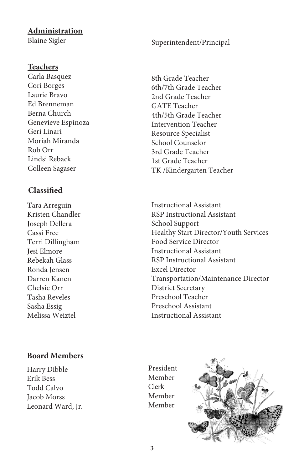#### **Administration**

Blaine Sigler

#### Superintendent/Principal

#### **Teachers**

Carla Basquez Cori Borges Laurie Bravo Ed Brenneman Berna Church Genevieve Espinoza Geri Linari Moriah Miranda Rob Orr Lindsi Reback Colleen Sagaser

#### **Classified**

Tara Arreguin Kristen Chandler Joseph Dellera Cassi Free Terri Dillingham Jesi Elmore Rebekah Glass Ronda Jensen Darren Kanen Chelsie Orr Tasha Reveles Sasha Essig Melissa Weiztel

8th Grade Teacher 6th/7th Grade Teacher 2nd Grade Teacher GATE Teacher 4th/5th Grade Teacher Intervention Teacher Resource Specialist School Counselor 3rd Grade Teacher 1st Grade Teacher TK /Kindergarten Teacher

Instructional Assistant RSP Instructional Assistant School Support Healthy Start Director/Youth Services Food Service Director Instructional Assistant RSP Instructional Assistant Excel Director Transportation/Maintenance Director District Secretary Preschool Teacher Preschool Assistant Instructional Assistant

#### **Board Members**

Harry Dibble Erik Bess **Todd Calvo Iacob Morss** Leonard Ward, Jr. President Member Clerk Member Member

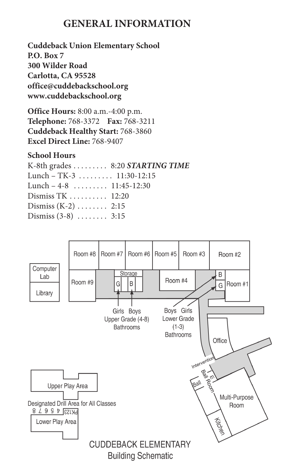# **GENERAL INFORMATION**

**Cuddeback Union Elementary School P.O. Box 7 300 Wilder Road Carlotta, CA 95528 office@cuddebackschool.org www.cuddebackschool.org**

**Office Hours:** 8:00 a.m.-4:00 p.m. **Telephone:** 768-3372 **Fax:** 768-3211 **Cuddeback Healthy Start:** 768-3860 **Excel Direct Line:** 768-9407

#### **School Hours**

K-8th grades ......... 8:20 *STARTING TIME* Lunch – TK-3 ......... 11:30-12:15 Lunch –  $4-8$  .............. 11:45-12:30 Dismiss TK .......... 12:20 Dismiss (K-2) ........ 2:15 Dismiss (3-8) ........ 3:15

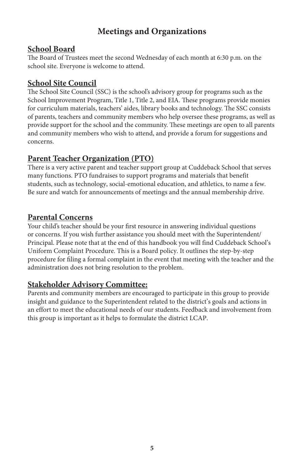# **Meetings and Organizations**

#### **School Board**

The Board of Trustees meet the second Wednesday of each month at 6:30 p.m. on the school site. Everyone is welcome to attend.

## **School Site Council**

The School Site Council (SSC) is the school's advisory group for programs such as the School Improvement Program, Title 1, Title 2, and EIA. These programs provide monies for curriculum materials, teachers' aides, library books and technology. The SSC consists of parents, teachers and community members who help oversee these programs, as well as provide support for the school and the community. These meetings are open to all parents and community members who wish to attend, and provide a forum for suggestions and concerns.

# **Parent Teacher Organization (PTO)**

There is a very active parent and teacher support group at Cuddeback School that serves many functions. PTO fundraises to support programs and materials that benefit students, such as technology, social-emotional education, and athletics, to name a few. Be sure and watch for announcements of meetings and the annual membership drive.

#### **Parental Concerns**

Your child's teacher should be your first resource in answering individual questions or concerns. If you wish further assistance you should meet with the Superintendent/ Principal. Please note that at the end of this handbook you will find Cuddeback School's Uniform Complaint Procedure. This is a Board policy. It outlines the step-by-step procedure for filing a formal complaint in the event that meeting with the teacher and the administration does not bring resolution to the problem.

## **Stakeholder Advisory Committee:**

Parents and community members are encouraged to participate in this group to provide insight and guidance to the Superintendent related to the district's goals and actions in an effort to meet the educational needs of our students. Feedback and involvement from this group is important as it helps to formulate the district LCAP.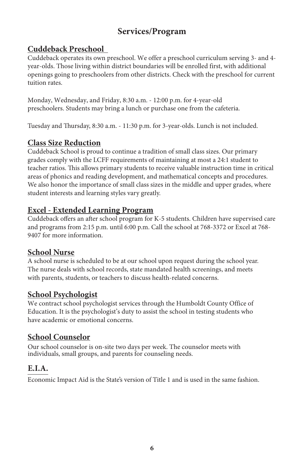# **Services/Program**

# **Cuddeback Preschool**

Cuddeback operates its own preschool. We offer a preschool curriculum serving 3- and 4 year-olds. Those living within district boundaries will be enrolled first, with additional openings going to preschoolers from other districts. Check with the preschool for current tuition rates.

Monday, Wednesday, and Friday, 8:30 a.m. - 12:00 p.m. for 4-year-old preschoolers. Students may bring a lunch or purchase one from the cafeteria.

Tuesday and Thursday, 8:30 a.m. - 11:30 p.m. for 3-year-olds. Lunch is not included.

# **Class Size Reduction**

Cuddeback School is proud to continue a tradition of small class sizes. Our primary grades comply with the LCFF requirements of maintaining at most a 24:1 student to teacher ratios. This allows primary students to receive valuable instruction time in critical areas of phonics and reading development, and mathematical concepts and procedures. We also honor the importance of small class sizes in the middle and upper grades, where student interests and learning styles vary greatly.

#### **Excel - Extended Learning Program**

Cuddeback offers an after school program for K-5 students. Children have supervised care and programs from 2:15 p.m. until 6:00 p.m. Call the school at 768-3372 or Excel at 768- 9407 for more information.

#### **School Nurse**

A school nurse is scheduled to be at our school upon request during the school year. The nurse deals with school records, state mandated health screenings, and meets with parents, students, or teachers to discuss health-related concerns.

## **School Psychologist**

We contract school psychologist services through the Humboldt County Office of Education. It is the psychologist's duty to assist the school in testing students who have academic or emotional concerns.

## **School Counselor**

Our school counselor is on-site two days per week. The counselor meets with individuals, small groups, and parents for counseling needs.

## **E.I.A.**

Economic Impact Aid is the State's version of Title 1 and is used in the same fashion.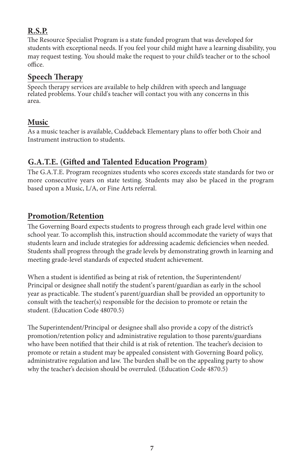# **R.S.P.**

The Resource Specialist Program is a state funded program that was developed for students with exceptional needs. If you feel your child might have a learning disability, you may request testing. You should make the request to your child's teacher or to the school office.

#### **Speech Therapy**

Speech therapy services are available to help children with speech and language related problems. Your child's teacher will contact you with any concerns in this area.

#### **Music**

As a music teacher is available, Cuddeback Elementary plans to offer both Choir and Instrument instruction to students.

# **G.A.T.E. (Gifted and Talented Education Program)**

The G.A.T.E. Program recognizes students who scores exceeds state standards for two or more consecutive years on state testing. Students may also be placed in the program based upon a Music, L/A, or Fine Arts referral.

## **Promotion/Retention**

The Governing Board expects students to progress through each grade level within one school year. To accomplish this, instruction should accommodate the variety of ways that students learn and include strategies for addressing academic deficiencies when needed. Students shall progress through the grade levels by demonstrating growth in learning and meeting grade-level standards of expected student achievement.

When a student is identified as being at risk of retention, the Superintendent/ Principal or designee shall notify the student's parent/guardian as early in the school year as practicable. The student's parent/guardian shall be provided an opportunity to consult with the teacher(s) responsible for the decision to promote or retain the student. (Education Code 48070.5)

The Superintendent/Principal or designee shall also provide a copy of the district's promotion/retention policy and administrative regulation to those parents/guardians who have been notified that their child is at risk of retention. The teacher's decision to promote or retain a student may be appealed consistent with Governing Board policy, administrative regulation and law. The burden shall be on the appealing party to show why the teacher's decision should be overruled. (Education Code 4870.5)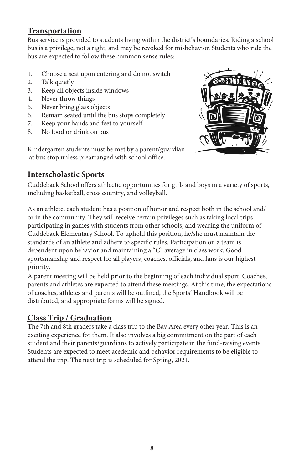# **Transportation**

Bus service is provided to students living within the district's boundaries. Riding a school behavior is a mixil of the set of the set of the set of the set of the set of the set of the set of the set of the set of the set bus is a privilege, not a right, and may be revoked for misbehavior. Students who ride the bus are expected to follow these common sense rules: 6. Remain seated until the bus stops completely

- 1. Choose a seat upon entering and do not switch
	- 2. Talk quietly
- 3. Keep all objects inside windows
- 4. Never throw things
	- 5. Never bring glass objects
	- 6. Remain seated until the bus stops completely
	- 7. Keep your hands and feet to yourself
	- 8. No food or drink on bus

Kindergarten students must be met by a parent/guardian at bus stop unless prearranged with school office.



## **Interscholastic Sports**

Cuddeback School offers athlectic opportunities for girls and boys in a variety of sports, including basketball, cross country, and volleyball.

As an athlete, each student has a position of honor and respect both in the school and/ or in the community. They will receive certain privileges such as taking local trips, participating in games with students from other schools, and wearing the uniform of Cuddeback Elementary School. To uphold this position, he/she must maintain the standards of an athlete and adhere to specific rules. Participation on a team is dependent upon behavior and maintaining a "C" average in class work. Good sportsmanship and respect for all players, coaches, officials, and fans is our highest priority.

A parent meeting will be held prior to the beginning of each individual sport. Coaches, parents and athletes are expected to attend these meetings. At this time, the expectations of coaches, athletes and parents will be outlined, the Sports' Handbook will be distributed, and appropriate forms will be signed.

## **Class Trip / Graduation**

The 7th and 8th graders take a class trip to the Bay Area every other year. This is an exciting experience for them. It also involves a big commitment on the part of each student and their parents/guardians to actively participate in the fund-raising events. Students are expected to meet acedemic and behavior requirements to be eligible to attend the trip. The next trip is scheduled for Spring, 2021.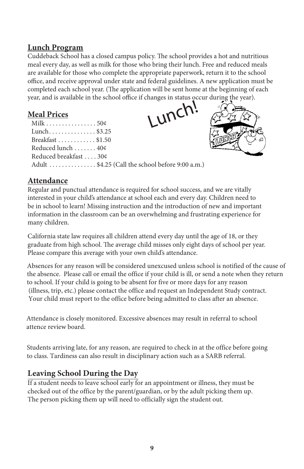## **Lunch Program**

Cuddeback School has a closed campus policy. The school provides a hot and nutritious meal every day, as well as milk for those who bring their lunch. Free and reduced meals are available for those who complete the appropriate paperwork, return it to the school office, and receive approval under state and federal guidelines. A new application must be completed each school year. (The application will be sent home at the beginning of each year, and is available in the school office if changes in status occur during the year).

#### **Meal Prices**

| Milk 50¢              |
|-----------------------|
| Lunch. \$3.25         |
| Breakfast \$1.50      |
| Reduced lunch 40¢     |
| Reduced breakfast 30¢ |
| Adult \$4.25          |





**Attendance**

Regular and punctual attendance is required for school success, and we are vitally interested in your child's attendance at school each and every day. Children need to be in school to learn! Missing instruction and the introduction of new and important information in the classroom can be an overwhelming and frustrating experience for many children.

(Call the school before 9:00 a.m.)

California state law requires all children attend every day until the age of 18, or they graduate from high school. The average child misses only eight days of school per year. Please compare this average with your own child's attendance.

Absences for any reason will be considered unexcused unless school is notified of the cause of the absence. Please call or email the office if your child is ill, or send a note when they return to school. If your child is going to be absent for five or more days for any reason (illness, trip, etc.) please contact the office and request an Independent Study contract. Your child must report to the office before being admitted to class after an absence.

Attendance is closely monitored. Excessive absences may result in referral to school attence review board.

Students arriving late, for any reason, are required to check in at the office before going to class. Tardiness can also result in disciplinary action such as a SARB referral.

## **Leaving School During the Day**

If a student needs to leave school early for an appointment or illness, they must be checked out of the office by the parent/guardian, or by the adult picking them up. The person picking them up will need to officially sign the student out.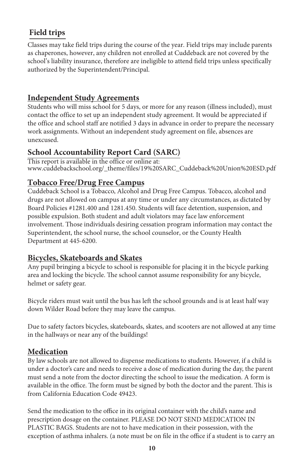# **Field trips**

Classes may take field trips during the course of the year. Field trips may include parents as chaperones, however, any children not enrolled at Cuddeback are not covered by the school's liability insurance, therefore are ineligible to attend field trips unless specifically authorized by the Superintendent/Principal.

#### **Independent Study Agreements**

Students who will miss school for 5 days, or more for any reason (illness included), must contact the office to set up an independent study agreement. It would be appreciated if the office and school staff are notified 3 days in advance in order to prepare the necessary work assignments. Without an independent study agreement on file, absences are unexcused.

## **School Accountability Report Card (SARC)**

This report is available in the office or online at: www.cuddebackschool.org/\_theme/files/19%20SARC\_Cuddeback%20Union%20ESD.pdf

## **Tobacco Free/Drug Free Campus**

Cuddeback School is a Tobacco, Alcohol and Drug Free Campus. Tobacco, alcohol and drugs are not allowed on campus at any time or under any circumstances, as dictated by Board Policies #1281.400 and 1281.450. Students will face detention, suspension, and possible expulsion. Both student and adult violators may face law enforcement involvement. Those individuals desiring cessation program information may contact the Superintendent, the school nurse, the school counselor, or the County Health Department at 445-6200.

## **Bicycles, Skateboards and Skates**

Any pupil bringing a bicycle to school is responsible for placing it in the bicycle parking area and locking the bicycle. The school cannot assume responsibility for any bicycle, helmet or safety gear.

Bicycle riders must wait until the bus has left the school grounds and is at least half way down Wilder Road before they may leave the campus.

Due to safety factors bicycles, skateboards, skates, and scooters are not allowed at any time in the hallways or near any of the buildings!

#### **Medication**

By law schools are not allowed to dispense medications to students. However, if a child is under a doctor's care and needs to receive a dose of medication during the day, the parent must send a note from the doctor directing the school to issue the medication. A form is available in the office. The form must be signed by both the doctor and the parent. This is from California Education Code 49423.

Send the medication to the office in its original container with the child's name and prescription dosage on the container. PLEASE DO NOT SEND MEDICATION IN PLASTIC BAGS. Students are not to have medication in their possession, with the exception of asthma inhalers. (a note must be on file in the office if a student is to carry an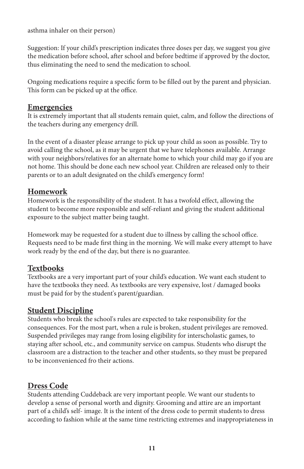asthma inhaler on their person)

Suggestion: If your child's prescription indicates three doses per day, we suggest you give the medication before school, after school and before bedtime if approved by the doctor, thus eliminating the need to send the medication to school.

Ongoing medications require a specific form to be filled out by the parent and physician. This form can be picked up at the office.

#### **Emergencies**

It is extremely important that all students remain quiet, calm, and follow the directions of the teachers during any emergency drill.

In the event of a disaster please arrange to pick up your child as soon as possible. Try to avoid calling the school, as it may be urgent that we have telephones available. Arrange with your neighbors/relatives for an alternate home to which your child may go if you are not home. This should be done each new school year. Children are released only to their parents or to an adult designated on the child's emergency form!

#### **Homework**

Homework is the responsibility of the student. It has a twofold effect, allowing the student to become more responsible and self-reliant and giving the student additional exposure to the subject matter being taught.

Homework may be requested for a student due to illness by calling the school office. Requests need to be made first thing in the morning. We will make every attempt to have work ready by the end of the day, but there is no guarantee.

#### **Textbooks**

Textbooks are a very important part of your child's education. We want each student to have the textbooks they need. As textbooks are very expensive, lost / damaged books must be paid for by the student's parent/guardian.

## **Student Discipline**

Students who break the school's rules are expected to take responsibility for the consequences. For the most part, when a rule is broken, student privileges are removed. Suspended privileges may range from losing eligibility for interscholastic games, to staying after school, etc., and community service on campus. Students who disrupt the classroom are a distraction to the teacher and other students, so they must be prepared to be inconvenienced fro their actions.

## **Dress Code**

Students attending Cuddeback are very important people. We want our students to develop a sense of personal worth and dignity. Grooming and attire are an important part of a child's self- image. It is the intent of the dress code to permit students to dress according to fashion while at the same time restricting extremes and inappropriateness in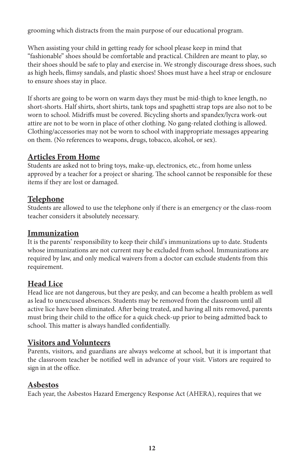grooming which distracts from the main purpose of our educational program.

When assisting your child in getting ready for school please keep in mind that "fashionable" shoes should be comfortable and practical. Children are meant to play, so their shoes should be safe to play and exercise in. We strongly discourage dress shoes, such as high heels, flimsy sandals, and plastic shoes! Shoes must have a heel strap or enclosure to ensure shoes stay in place.

If shorts are going to be worn on warm days they must be mid-thigh to knee length, no short-shorts. Half shirts, short shirts, tank tops and spaghetti strap tops are also not to be worn to school. Midriffs must be covered. Bicycling shorts and spandex/lycra work-out attire are not to be worn in place of other clothing. No gang-related clothing is allowed. Clothing/accessories may not be worn to school with inappropriate messages appearing on them. (No references to weapons, drugs, tobacco, alcohol, or sex).

#### **Articles From Home**

Students are asked not to bring toys, make-up, electronics, etc., from home unless approved by a teacher for a project or sharing. The school cannot be responsible for these items if they are lost or damaged.

#### **Telephone**

Students are allowed to use the telephone only if there is an emergency or the class-room teacher considers it absolutely necessary.

#### **Immunization**

It is the parents' responsibility to keep their child's immunizations up to date. Students whose immunizations are not current may be excluded from school. Immunizations are required by law, and only medical waivers from a doctor can exclude students from this requirement.

## **Head Lice**

Head lice are not dangerous, but they are pesky, and can become a health problem as well as lead to unexcused absences. Students may be removed from the classroom until all active lice have been eliminated. After being treated, and having all nits removed, parents must bring their child to the office for a quick check-up prior to being admitted back to school. This matter is always handled confidentially.

#### **Visitors and Volunteers**

Parents, visitors, and guardians are always welcome at school, but it is important that the classroom teacher be notified well in advance of your visit. Vistors are required to sign in at the office.

#### **Asbestos**

Each year, the Asbestos Hazard Emergency Response Act (AHERA), requires that we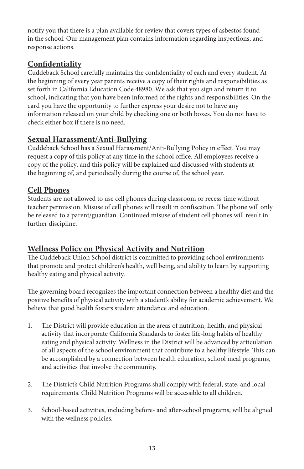notify you that there is a plan available for review that covers types of asbestos found in the school. Our management plan contains information regarding inspections, and response actions.

# **Confidentiality**

Cuddeback School carefully maintains the confidentiality of each and every student. At the beginning of every year parents receive a copy of their rights and responsibilities as set forth in California Education Code 48980. We ask that you sign and return it to school, indicating that you have been informed of the rights and responsibilities. On the card you have the opportunity to further express your desire not to have any information released on your child by checking one or both boxes. You do not have to check either box if there is no need.

#### **Sexual Harassment/Anti-Bullying**

Cuddeback School has a Sexual Harassment/Anti-Bullying Policy in effect. You may request a copy of this policy at any time in the school office. All employees receive a copy of the policy, and this policy will be explained and discussed with students at the beginning of, and periodically during the course of, the school year.

## **Cell Phones**

Students are not allowed to use cell phones during classroom or recess time without teacher permission. Misuse of cell phones will result in confiscation. The phone will only be released to a parent/guardian. Continued misuse of student cell phones will result in further discipline.

## **Wellness Policy on Physical Activity and Nutrition**

The Cuddeback Union School district is committed to providing school environments that promote and protect children's health, well being, and ability to learn by supporting healthy eating and physical activity.

The governing board recognizes the important connection between a healthy diet and the positive benefits of physical activity with a student's ability for academic achievement. We believe that good health fosters student attendance and education.

- 1. The District will provide education in the areas of nutrition, health, and physical activity that incorporate California Standards to foster life-long habits of healthy eating and physical activity. Wellness in the District will be advanced by articulation of all aspects of the school environment that contribute to a healthy lifestyle. This can be accomplished by a connection between health education, school meal programs, and activities that involve the community.
- 2. The District's Child Nutrition Programs shall comply with federal, state, and local requirements. Child Nutrition Programs will be accessible to all children.
- 3. School-based activities, including before- and after-school programs, will be aligned with the wellness policies.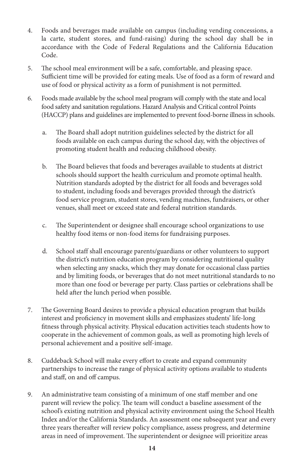- 4. Foods and beverages made available on campus (including vending concessions, a la carte, student stores, and fund-raising) during the school day shall be in accordance with the Code of Federal Regulations and the California Education Code.
- 5. The school meal environment will be a safe, comfortable, and pleasing space. Sufficient time will be provided for eating meals. Use of food as a form of reward and use of food or physical activity as a form of punishment is not permitted.
- 6. Foods made available by the school meal program will comply with the state and local food safety and sanitation regulations. Hazard Analysis and Critical control Points (HACCP) plans and guidelines are implemented to prevent food-borne illness in schools.
	- a. The Board shall adopt nutrition guidelines selected by the district for all foods available on each campus during the school day, with the objectives of promoting student health and reducing childhood obesity.
	- b. The Board believes that foods and beverages available to students at district schools should support the health curriculum and promote optimal health. Nutrition standards adopted by the district for all foods and beverages sold to student, including foods and beverages provided through the district's food service program, student stores, vending machines, fundraisers, or other venues, shall meet or exceed state and federal nutrition standards.
	- c. The Superintendent or designee shall encourage school organizations to use healthy food items or non-food items for fundraising purposes.
	- d. School staff shall encourage parents/guardians or other volunteers to support the district's nutrition education program by considering nutritional quality when selecting any snacks, which they may donate for occasional class parties and by limiting foods, or beverages that do not meet nutritional standards to no more than one food or beverage per party. Class parties or celebrations shall be held after the lunch period when possible.
- 7. The Governing Board desires to provide a physical education program that builds interest and proficiency in movement skills and emphasizes students' life-long fitness through physical activity. Physical education activities teach students how to cooperate in the achievement of common goals, as well as promoting high levels of personal achievement and a positive self-image.
- 8. Cuddeback School will make every effort to create and expand community partnerships to increase the range of physical activity options available to students and staff, on and off campus.
- 9. An administrative team consisting of a minimum of one staff member and one parent will review the policy. The team will conduct a baseline assessment of the school's existing nutrition and physical activity environment using the School Health Index and/or the California Standards. An assessment one subsequent year and every three years thereafter will review policy compliance, assess progress, and determine areas in need of improvement. The superintendent or designee will prioritize areas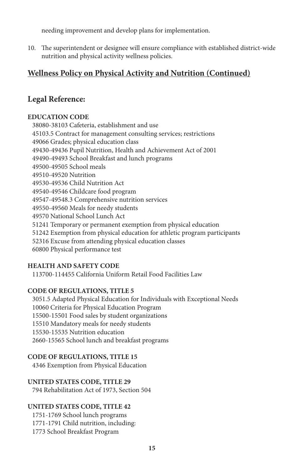needing improvement and develop plans for implementation.

10. The superintendent or designee will ensure compliance with established district-wide nutrition and physical activity wellness policies.

#### **Wellness Policy on Physical Activity and Nutrition (Continued)**

#### **Legal Reference:**

#### **EDUCATION CODE**

38080-38103 Cafeteria, establishment and use 45103.5 Contract for management consulting services; restrictions 49066 Grades; physical education class 49430-49436 Pupil Nutrition, Health and Achievement Act of 2001 49490-49493 School Breakfast and lunch programs 49500-49505 School meals 49510-49520 Nutrition 49530-49536 Child Nutrition Act 49540-49546 Childcare food program 49547-49548.3 Comprehensive nutrition services 49550-49560 Meals for needy students 49570 National School Lunch Act 51241 Temporary or permanent exemption from physical education 51242 Exemption from physical education for athletic program participants 52316 Excuse from attending physical education classes 60800 Physical performance test

#### **HEALTH AND SAFETY CODE**

113700-114455 California Uniform Retail Food Facilities Law

#### **CODE OF REGULATIONS, TITLE 5**

3051.5 Adapted Physical Education for Individuals with Exceptional Needs 10060 Criteria for Physical Education Program 15500-15501 Food sales by student organizations 15510 Mandatory meals for needy students 15530-15535 Nutrition education 2660-15565 School lunch and breakfast programs

#### **CODE OF REGULATIONS, TITLE 15**

4346 Exemption from Physical Education

#### **UNITED STATES CODE, TITLE 29**

794 Rehabilitation Act of 1973, Section 504

#### **UNITED STATES CODE, TITLE 42**

1751-1769 School lunch programs 1771-1791 Child nutrition, including: 1773 School Breakfast Program